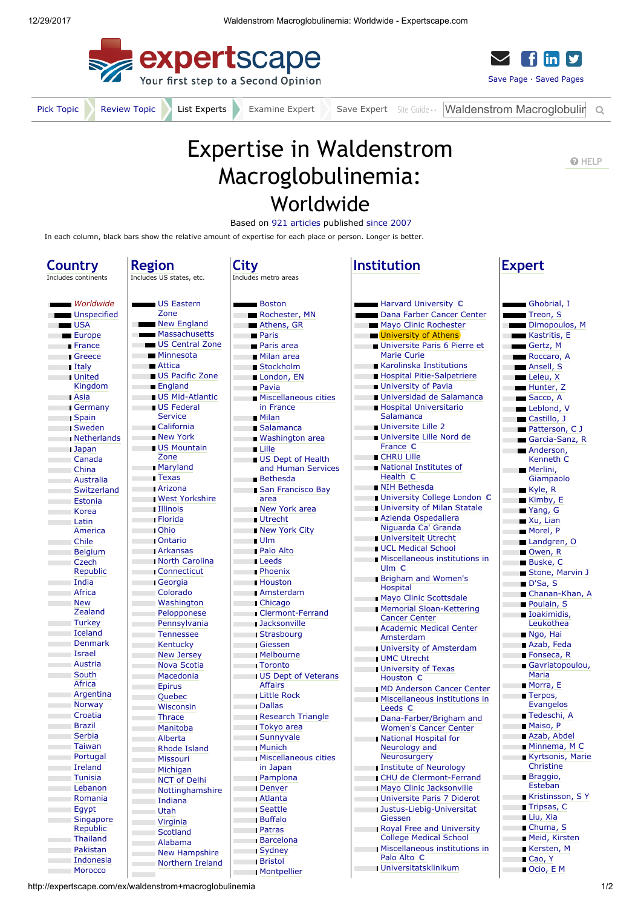



[Pick Topic](http://expertscape.com/help/tpc_popular?k=waldenstrom+macroglobulinemia) [Review Topic](http://expertscape.com/go/waldenstrom+macroglobulinemia) List Experts Examine Expert Save Expert [Site Guide](http://expertscape.com/help/gen_intro) Waldenstrom Macroglobulin Q

## Expertise in Waldenstrom Macroglobulinemia: Worldwide

Based on [921 articles](http://expertscape.com/ar/waldenstrom+macroglobulinemia) published [since 2007](javascript:toggle1() In each column, black bars show the relative amount of expertise for each place or person. Longer is better.

 $\blacksquare$ 

## **Country**

Region

÷

Includes continents

|                                         | <b>Worldwide</b>      |
|-----------------------------------------|-----------------------|
|                                         | Unspecified           |
| <b>USA</b>                              |                       |
|                                         | <b>Europe</b>         |
|                                         | <b>Example France</b> |
|                                         | <b>Second</b> Greece  |
| <b>Example 1</b> Italy                  |                       |
|                                         | <b>United</b>         |
|                                         | Kingdom               |
| <b>Example 2</b>                        |                       |
|                                         | <b>Germany</b>        |
| <b>Spain</b>                            |                       |
|                                         | <b>Sweden</b>         |
|                                         | Netherlands           |
|                                         |                       |
| <b>Contract District</b>                | Japan                 |
| <b>Contract</b>                         | Canada                |
| <b>Contract</b>                         | China                 |
| <b>Contract</b>                         | <b>Australia</b>      |
| <b>College</b>                          | Switzerland           |
| <b>Contract</b>                         | <b>Estonia</b>        |
| <b>Contract</b>                         | Korea                 |
| <b>Contract</b>                         | Latin                 |
|                                         | America               |
| <b>Contract</b>                         | Chile                 |
| <b>Contract Contract</b>                | <b>Belgium</b>        |
| $\mathcal{L}^{\text{max}}_{\text{max}}$ | Czech                 |
|                                         | Republic              |
| <b>Contract</b>                         | India                 |
| <b>Contract</b>                         | Africa                |
| <b>Contract Contract</b>                | <b>New</b>            |
|                                         | Zealand               |
| <b>Contract</b>                         | <b>Turkey</b>         |
| <b>Contract</b>                         | Iceland               |
| <b>Contract</b>                         | Denmark               |
| <b>Contract Contract</b>                | Israel                |
| <b>Contract</b>                         | <b>Austria</b>        |
| <b>College</b>                          | South                 |
|                                         | Africa                |
| <b>College</b>                          | Argentina             |
| <b>Contract</b>                         | Norway                |
| <b>Contract</b>                         | Croatia               |
| <b>College</b>                          | <b>Brazil</b>         |
| <b>College</b>                          | <b>Serbia</b>         |
| <b>Contract</b>                         | <b>Taiwan</b>         |
| <b>Contract Contract</b>                | Portugal              |
| <b>Contract Contract</b>                | Ireland               |
| <b>Contract</b>                         | <b>Tunisia</b>        |
|                                         |                       |
| <b>Contract Contract</b>                | Lebanon               |
| <b>Contract Contract</b>                | Romania               |
| <b>Contract</b>                         | Egypt                 |
|                                         | <b>Singapore</b>      |
|                                         | Republic              |
| a ka                                    | Thailand              |
|                                         | Pakistan              |
| <b>College</b>                          | <b>Indonesia</b>      |
| <b>College</b>                          | Morocco               |

| Includes US states, etc.                                                                                              |
|-----------------------------------------------------------------------------------------------------------------------|
| US Eastern<br>$\overline{\phantom{a}}$                                                                                |
| Zone                                                                                                                  |
| New England                                                                                                           |
| Massachusetts                                                                                                         |
| US Central Zone                                                                                                       |
| Minnesota                                                                                                             |
| ■ Attica                                                                                                              |
| US Pacific Zone                                                                                                       |
| <b>England</b>                                                                                                        |
| US Mid-Atlantic                                                                                                       |
| US Federal                                                                                                            |
| Service                                                                                                               |
| <b>California</b>                                                                                                     |
| <b>New York</b>                                                                                                       |
| <b>US Mountain</b><br>Zone                                                                                            |
| <b>Maryland</b>                                                                                                       |
| <b>Texas</b>                                                                                                          |
| <b>Exercise Arizona</b>                                                                                               |
| West Yorkshire                                                                                                        |
| Illinois                                                                                                              |
| <b>Example 1</b> Florida                                                                                              |
| <b>Ohio</b>                                                                                                           |
| <b>Contario</b>                                                                                                       |
| <b>Exercise Arkansas</b>                                                                                              |
| North Carolina                                                                                                        |
| <b>Connecticut</b>                                                                                                    |
| <b>Calcular</b> Georgia                                                                                               |
| <b>Colorado</b>                                                                                                       |
| <b>Example 20 Washington</b>                                                                                          |
| <b>Example 19 Pelopponese</b>                                                                                         |
| Pennsylvania                                                                                                          |
| <b>Tennessee</b>                                                                                                      |
| <b>Example Kentucky</b>                                                                                               |
| <b>Example 18 New Jersey</b>                                                                                          |
| Nova Scotia                                                                                                           |
| Macedonia                                                                                                             |
| <b>Epirus</b>                                                                                                         |
| <b>Calculate Contract Contract Contract Contract Contract Contract Contract Contract Contract Contract Contract C</b> |
| <b>Wisconsin</b>                                                                                                      |
| <b>Example Thrace</b>                                                                                                 |
| <b>Manitoba</b>                                                                                                       |
| <b>Alberta</b>                                                                                                        |
| <b>Example 15</b> Rhode Island                                                                                        |
| Missouri                                                                                                              |
| <b>Contract</b><br>Michigan                                                                                           |
| <b>NCT of Delhi</b><br><b>Contract Contract</b>                                                                       |
| Nottinghamshire<br><b>The College</b>                                                                                 |
| <b>Contract Contract</b><br>Indiana                                                                                   |
| and a<br>Utah<br>ī                                                                                                    |
| <b>Contract</b><br>Virginia                                                                                           |
| <b>Scotland</b><br>$\mathcal{L}(\mathcal{L})$                                                                         |
| <b>Listen</b><br>Alabama                                                                                              |
| <b>Example 1 New Hampshire</b>                                                                                        |

## **City**

Inclu

|   | inciudes metro areas             |
|---|----------------------------------|
|   |                                  |
|   | $\blacksquare$ Boston            |
|   | Rochester, MN                    |
|   | Athens, GR                       |
|   | <b>Paris</b>                     |
|   | <b>Paris area</b>                |
|   | <b>Milan area</b>                |
|   | ■ Stockholm                      |
|   | London, EN                       |
|   | <b>Pavia</b>                     |
|   | <b>Miscellaneous cities</b>      |
|   | in France                        |
|   | ∎ Milan                          |
|   | <b>Salamanca</b>                 |
|   | Washington area                  |
|   | $\blacksquare$ Lille             |
|   | US Dept of Health                |
|   | and Human Services               |
|   | ■ Bethesda                       |
|   | San Francisco Bay                |
|   | area                             |
|   | New York area                    |
|   | Utrecht                          |
|   | New York City                    |
|   | Ulm                              |
|   | <b>Palo Alto</b>                 |
|   | <b>Leeds</b>                     |
|   | <b>Phoenix</b>                   |
|   | <b>Houston</b>                   |
|   | <b>Amsterdam</b>                 |
|   | Chicago                          |
|   | <b>Clermont-Ferrand</b>          |
|   | <b>Jacksonville</b>              |
|   | ⊪ Strasbourg                     |
|   | $\blacksquare$ Giessen           |
|   | <b>Melbourne</b>                 |
|   | ⊪Toronto                         |
|   | <b>US Dept of Veterans</b>       |
|   | Affairs                          |
|   | Little Rock                      |
|   | <b>Dallas</b>                    |
|   | <b>Research Triangle</b>         |
|   | <b>Tokyo</b> area                |
|   | <b>Sunnyvale</b>                 |
|   | ⊪Munich                          |
|   |                                  |
|   | Miscellaneous cities<br>in Japan |
|   | <b>Pamplona</b>                  |
| ľ | Denver                           |
| Ĺ | Atlanta                          |
| Ī | <b>Seattle</b>                   |
| Ī | <b>Buffalo</b>                   |
| Ī | Patras                           |
| Ï | <b>Barcelona</b>                 |
| Ï | Sydney                           |
| Í | <b>Bristol</b>                   |
| Ï | Montpellier                      |
|   |                                  |

| <b>Institution</b>                                                 | Expert                            |  |
|--------------------------------------------------------------------|-----------------------------------|--|
|                                                                    | $\blacksquare$ Gho                |  |
| <b>Example 3</b> Harvard University C<br>Dana Farber Cancer Center | $\blacksquare$ Trec               |  |
|                                                                    | $\blacksquare$ Dim                |  |
| Mayo Clinic Rochester<br><b>University of Athens</b>               | $\blacksquare$ Kast               |  |
| Universite Paris 6 Pierre et                                       | Gert                              |  |
| <b>Marie Curie</b>                                                 | Roc                               |  |
| <b>Karolinska Institutions</b>                                     | $\blacksquare$ Anse               |  |
| Hospital Pitie-Salpetriere                                         | $\blacksquare$ Lele               |  |
| University of Pavia                                                | $\blacksquare$ Hun                |  |
| Universidad de Salamanca                                           | $\blacksquare$ Saco               |  |
| <b>Hospital Universitario</b>                                      | $\blacksquare$ Lebl               |  |
| Salamanca                                                          | $\blacksquare$ Cast               |  |
| Universite Lille 2                                                 |                                   |  |
| <b>Universite Lille Nord de</b>                                    | $\blacksquare$ Patt               |  |
| France C                                                           | <b>■</b> Gard                     |  |
| CHRU Lille                                                         | $\blacksquare$ And<br>Keni        |  |
| National Institutes of                                             | Mer                               |  |
| Health C                                                           | Giar                              |  |
| <b>NIH Bethesda</b>                                                | $\blacksquare$ Kyle               |  |
| University College London C                                        | $\blacksquare$ Kiml               |  |
| <b>University of Milan Statale</b>                                 | $\blacksquare$ Yand               |  |
| Azienda Ospedaliera                                                | $\blacksquare$ Xu,                |  |
| Niguarda Ca' Granda                                                |                                   |  |
| Universiteit Utrecht                                               | $M$ or                            |  |
| UCL Medical School                                                 | $\blacksquare$ Land               |  |
| <b>Miscellaneous institutions in</b>                               | $\blacksquare$ Owe<br><b>Busk</b> |  |
| Ulm C                                                              | $\blacksquare$ Stor               |  |
| <b>Brigham and Women's</b>                                         | $D'S$ a                           |  |
| <b>Hospital</b>                                                    | $\blacksquare$ Chai               |  |
| <b>Mayo Clinic Scottsdale</b>                                      | $\blacksquare$ Poul               |  |
| Memorial Sloan-Kettering                                           | $\blacksquare$ Ioak               |  |
| <b>Cancer Center</b>                                               | Leul                              |  |
| <b>Academic Medical Center</b>                                     | $\blacksquare$ Ngo                |  |
| Amsterdam                                                          | ∎ Azal                            |  |
| <b>University of Amsterdam</b>                                     | $\blacksquare$ Fons               |  |
| <b>UMC Utrecht</b>                                                 | $\blacksquare$ Gav                |  |
| <b>University of Texas</b>                                         | Mari                              |  |
| Houston C                                                          | $\blacksquare$ Mori               |  |
| <b>IMD Anderson Cancer Center</b>                                  | $\blacksquare$ Terp               |  |
| <b>Miscellaneous institutions in</b>                               | Evar                              |  |
| Leeds <b>C</b>                                                     | $\blacksquare$ Tede               |  |
| <b>I</b> Dana-Farber/Brigham and<br><b>Women's Cancer Center</b>   | $\blacksquare$ Mais               |  |
|                                                                    | ∎ Azal                            |  |
| National Hospital for<br>Neurology and                             | $\blacksquare$ Minr               |  |
| Neurosurgery                                                       | Kyrt                              |  |
| <b>Institute of Neurology</b>                                      | Chri                              |  |
| <b>CHU</b> de Clermont-Ferrand                                     | $\blacksquare$ Brac               |  |
| Mayo Clinic Jacksonville                                           | Este                              |  |
| Universite Paris 7 Diderot                                         | $\blacksquare$ Krist              |  |
| <b>Justus-Liebig-Universitat</b>                                   | $\blacksquare$ Trip:              |  |
| Giessen                                                            | $Liu$ ,                           |  |
| <b>Royal Free and University</b>                                   | $\blacksquare$ Chu                |  |
| <b>College Medical School</b>                                      | $\blacksquare$ Meio               |  |
| <b>Miscellaneous institutions in</b>                               | $\blacksquare$ Kers               |  |
|                                                                    |                                   |  |

**O** [HELP](javascript:toggle_dom( )

[Ghobrial,](http://expertscape.com/au/waldenstrom+macroglobulinemia/Ghobrial%2C+I) I [Treon,](http://expertscape.com/au/waldenstrom+macroglobulinemia/Treon%2C+S) S [Dimopoulos,](http://expertscape.com/au/waldenstrom+macroglobulinemia/Dimopoulos%2C+M) M [Kastritis,](http://expertscape.com/au/waldenstrom+macroglobulinemia/Kastritis%2C+E) E [Gertz,](http://expertscape.com/au/waldenstrom+macroglobulinemia/Gertz%2C+M) M [Roccaro,](http://expertscape.com/au/waldenstrom+macroglobulinemia/Roccaro%2C+A) A [Ansell,](http://expertscape.com/au/waldenstrom+macroglobulinemia/Ansell%2C+S) S [Leleu,](http://expertscape.com/au/waldenstrom+macroglobulinemia/Leleu%2C+X) X [Hunter,](http://expertscape.com/au/waldenstrom+macroglobulinemia/Hunter%2C+Z) Z [Sacco,](http://expertscape.com/au/waldenstrom+macroglobulinemia/Sacco%2C+A) A [Leblond,](http://expertscape.com/au/waldenstrom+macroglobulinemia/Leblond%2C+V) V [Castillo,](http://expertscape.com/au/waldenstrom+macroglobulinemia/Castillo%2C+J) J [Patterson,](http://expertscape.com/au/waldenstrom+macroglobulinemia/Patterson%2C+C+J) C J [Garcia-Sanz,](http://expertscape.com/au/waldenstrom+macroglobulinemia/Garcia-Sanz%2C+R) R [Anderson,](http://expertscape.com/au/waldenstrom+macroglobulinemia/Anderson%2C+Kenneth+C) Kenneth C Merlini, [Giampaolo](http://expertscape.com/au/waldenstrom+macroglobulinemia/Merlini%2C+Giampaolo) [Kyle,](http://expertscape.com/au/waldenstrom+macroglobulinemia/Kyle%2C+R) R  $\overline{\mathsf{K} \mathsf{imby}}$ , E ■ [Yang,](http://expertscape.com/au/waldenstrom+macroglobulinemia/Yang%2C+G) G  $\overline{\mathsf{x}}$ u, [Lian](http://expertscape.com/au/waldenstrom+macroglobulinemia/Xu%2C+Lian) [Morel,](http://expertscape.com/au/waldenstrom+macroglobulinemia/Morel%2C+P) P [Landgren,](http://expertscape.com/au/waldenstrom+macroglobulinemia/Landgren%2C+O) O [Owen,](http://expertscape.com/au/waldenstrom+macroglobulinemia/Owen%2C+R) R [Buske,](http://expertscape.com/au/waldenstrom+macroglobulinemia/Buske%2C+C) C Stone, [Marvin](http://expertscape.com/au/waldenstrom+macroglobulinemia/Stone%2C+Marvin+J) J [D'Sa,](http://expertscape.com/au/waldenstrom+macroglobulinemia/D%27Sa%2C+S) S [Chanan-Khan,](http://expertscape.com/au/waldenstrom+macroglobulinemia/Chanan-Khan%2C+A) A **[Poulain,](http://expertscape.com/au/waldenstrom+macroglobulinemia/Poulain%2C+S) S** [Ioakimidis,](http://expertscape.com/au/waldenstrom+macroglobulinemia/Ioakimidis%2C+Leukothea) **Leukothea** [Ngo,](http://expertscape.com/au/waldenstrom+macroglobulinemia/Ngo%2C+Hai) Hai [Azab,](http://expertscape.com/au/waldenstrom+macroglobulinemia/Azab%2C+Feda) Feda **[Fonseca,](http://expertscape.com/au/waldenstrom+macroglobulinemia/Fonseca%2C+R) R** [Gavriatopoulou,](http://expertscape.com/au/waldenstrom+macroglobulinemia/Gavriatopoulou%2C+Maria) Maria [Morra,](http://expertscape.com/au/waldenstrom+macroglobulinemia/Morra%2C+E) E ■ Terpos, [Evangelos](http://expertscape.com/au/waldenstrom+macroglobulinemia/Terpos%2C+Evangelos) ■ [Tedeschi,](http://expertscape.com/au/waldenstrom+macroglobulinemia/Tedeschi%2C+A) A [Maiso,](http://expertscape.com/au/waldenstrom+macroglobulinemia/Maiso%2C+P) P [Azab,](http://expertscape.com/au/waldenstrom+macroglobulinemia/Azab%2C+Abdel) Abdel [Minnema,](http://expertscape.com/au/waldenstrom+macroglobulinemia/Minnema%2C+M+C) M C [Kyrtsonis,](http://expertscape.com/au/waldenstrom+macroglobulinemia/Kyrtsonis%2C+Marie+Christine) Marie **Christine Braggio**, Esteban **[Kristinsson,](http://expertscape.com/au/waldenstrom+macroglobulinemia/Kristinsson%2C+S+Y) S Y** [Tripsas,](http://expertscape.com/au/waldenstrom+macroglobulinemia/Tripsas%2C+C) C [Liu,](http://expertscape.com/au/waldenstrom+macroglobulinemia/Liu%2C+Xia) Xia [Chuma,](http://expertscape.com/au/waldenstrom+macroglobulinemia/Chuma%2C+S) S Meid, [Kirsten](http://expertscape.com/au/waldenstrom+macroglobulinemia/Meid%2C+Kirsten) [Kersten,](http://expertscape.com/au/waldenstrom+macroglobulinemia/Kersten%2C+M) M [Cao,](http://expertscape.com/au/waldenstrom+macroglobulinemia/Cao%2C+Y) Y

http://expertscape.com/ex/waldenstrom+macroglobulinemia 1/2

[Northern](http://expertscape.com/ex/waldenstrom+macroglobulinemia/s/ni) Ireland

[Ocio,](http://expertscape.com/au/waldenstrom+macroglobulinemia/Ocio%2C+E+M) E M